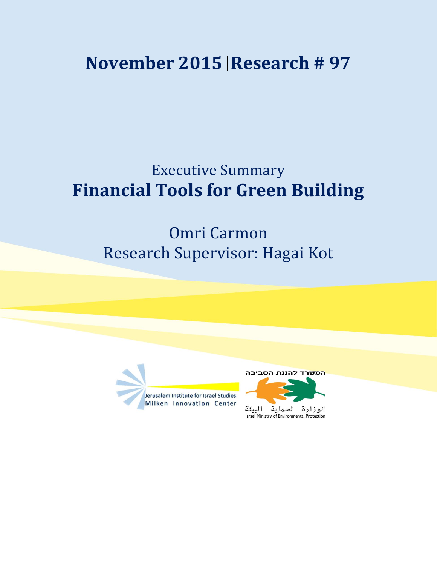## **November 2015 Research # 97**

## Executive Summary **Financial Tools for Green Building**

## Omri Carmon Research Supervisor: Hagai Kot



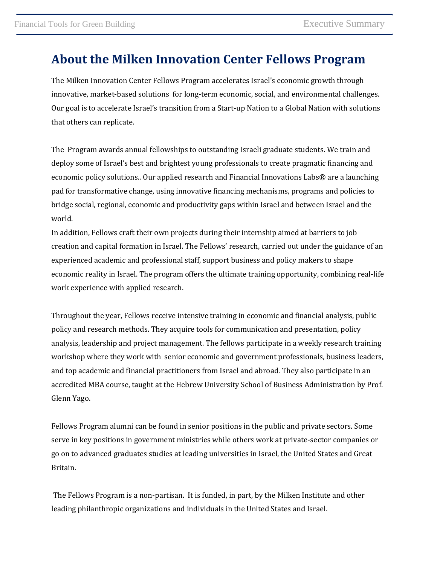## **About the Milken Innovation Center Fellows Program**

The Milken Innovation Center Fellows Program accelerates Israel's economic growth through innovative, market-based solutions for long-term economic, social, and environmental challenges. Our goal is to accelerate Israel's transition from a Start-up Nation to a Global Nation with solutions that others can replicate.

The Program awards annual fellowships to outstanding Israeli graduate students. We train and deploy some of Israel's best and brightest young professionals to create pragmatic financing and economic policy solutions.. Our applied research and Financial Innovations Labs® are a launching pad for transformative change, using innovative financing mechanisms, programs and policies to bridge social, regional, economic and productivity gaps within Israel and between Israel and the world.

In addition, Fellows craft their own projects during their internship aimed at barriers to job creation and capital formation in Israel. The Fellows' research, carried out under the guidance of an experienced academic and professional staff, support business and policy makers to shape economic reality in Israel. The program offers the ultimate training opportunity, combining real-life work experience with applied research.

Throughout the year, Fellows receive intensive training in economic and financial analysis, public policy and research methods. They acquire tools for communication and presentation, policy analysis, leadership and project management. The fellows participate in a weekly research training workshop where they work with senior economic and government professionals, business leaders, and top academic and financial practitioners from Israel and abroad. They also participate in an accredited MBA course, taught at the Hebrew University School of Business Administration by Prof. Glenn Yago.

Fellows Program alumni can be found in senior positions in the public and private sectors. Some serve in key positions in government ministries while others work at private-sector companies or go on to advanced graduates studies at leading universities in Israel, the United States and Great Britain.

The Fellows Program is a non-partisan. It is funded, in part, by the Milken Institute and other leading philanthropic organizations and individuals in the United States and Israel.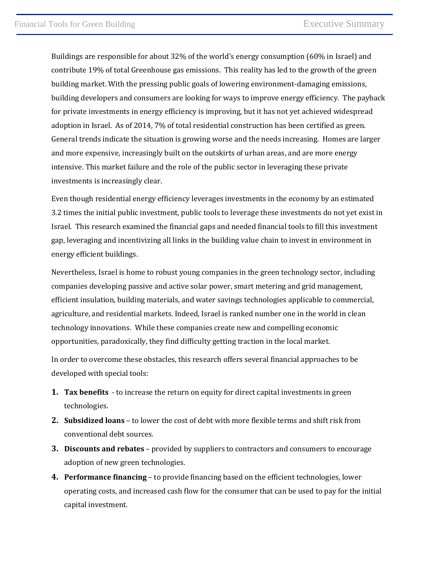Buildings are responsible for about 32% of the world's energy consumption (60% in Israel) and contribute 19% of total Greenhouse gas emissions. This reality has led to the growth of the green building market. With the pressing public goals of lowering environment-damaging emissions, building developers and consumers are looking for ways to improve energy efficiency. The payback for private investments in energy efficiency is improving, but it has not yet achieved widespread adoption in Israel. As of 2014, 7% of total residential construction has been certified as green. General trends indicate the situation is growing worse and the needs increasing. Homes are larger and more expensive, increasingly built on the outskirts of urban areas, and are more energy intensive. This market failure and the role of the public sector in leveraging these private investments is increasingly clear.

Even though residential energy efficiency leverages investments in the economy by an estimated 3.2 times the initial public investment, public tools to leverage these investments do not yet exist in Israel. This research examined the financial gaps and needed financial tools to fill this investment gap, leveraging and incentivizing all links in the building value chain to invest in environment in energy efficient buildings.

Nevertheless, Israel is home to robust young companies in the green technology sector, including companies developing passive and active solar power, smart metering and grid management, efficient insulation, building materials, and water savings technologies applicable to commercial, agriculture, and residential markets. Indeed, Israel is ranked number one in the world in clean technology innovations. While these companies create new and compelling economic opportunities, paradoxically, they find difficulty getting traction in the local market.

In order to overcome these obstacles, this research offers several financial approaches to be developed with special tools:

- **1. Tax benefits** to increase the return on equity for direct capital investments in green technologies.
- **2. Subsidized loans** to lower the cost of debt with more flexible terms and shift risk from conventional debt sources.
- **3. Discounts and rebates** provided by suppliers to contractors and consumers to encourage adoption of new green technologies.
- **4. Performance financing** to provide financing based on the efficient technologies, lower operating costs, and increased cash flow for the consumer that can be used to pay for the initial capital investment.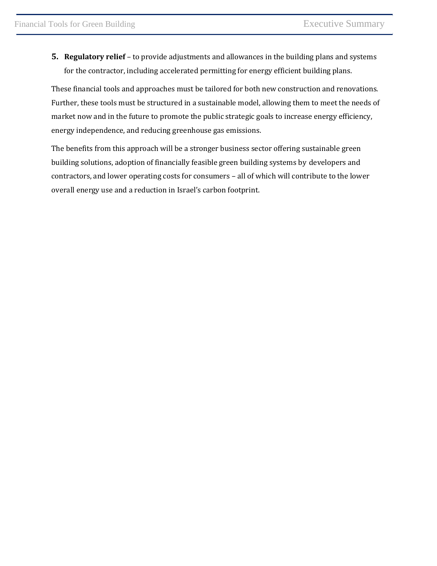**5. Regulatory relief** – to provide adjustments and allowances in the building plans and systems for the contractor, including accelerated permitting for energy efficient building plans.

These financial tools and approaches must be tailored for both new construction and renovations. Further, these tools must be structured in a sustainable model, allowing them to meet the needs of market now and in the future to promote the public strategic goals to increase energy efficiency, energy independence, and reducing greenhouse gas emissions.

The benefits from this approach will be a stronger business sector offering sustainable green building solutions, adoption of financially feasible green building systems by developers and contractors, and lower operating costs for consumers – all of which will contribute to the lower overall energy use and a reduction in Israel's carbon footprint.